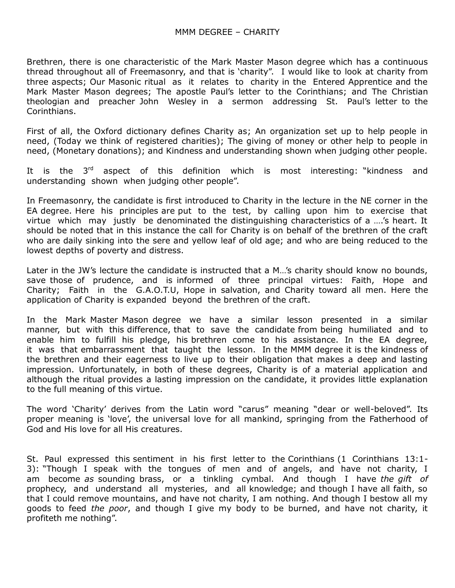Brethren, there is one characteristic of the Mark Master Mason degree which has a continuous thread throughout all of Freemasonry, and that is 'charity". I would like to look at charity from three aspects; Our Masonic ritual as it relates to charity in the Entered Apprentice and the Mark Master Mason degrees; The apostle Paul's letter to the Corinthians; and The Christian theologian and preacher John Wesley in a sermon addressing St. Paul's letter to the Corinthians.

First of all, the Oxford dictionary defines Charity as; An organization set up to help people in need, (Today we think of registered charities); The giving of money or other help to people in need, (Monetary donations); and Kindness and understanding shown when judging other people.

It is the  $3<sup>rd</sup>$  aspect of this definition which is most interesting: "kindness and understanding shown when judging other people".

In Freemasonry, the candidate is first introduced to Charity in the lecture in the NE corner in the EA degree. Here his principles are put to the test, by calling upon him to exercise that virtue which may justly be denominated the distinguishing characteristics of a ….'s heart. It should be noted that in this instance the call for Charity is on behalf of the brethren of the craft who are daily sinking into the sere and yellow leaf of old age; and who are being reduced to the lowest depths of poverty and distress.

Later in the JW's lecture the candidate is instructed that a M…'s charity should know no bounds, save those of prudence, and is informed of three principal virtues: Faith, Hope and Charity; Faith in the G.A.O.T.U, Hope in salvation, and Charity toward all men. Here the application of Charity is expanded beyond the brethren of the craft.

In the Mark Master Mason degree we have a similar lesson presented in a similar manner, but with this difference, that to save the candidate from being humiliated and to enable him to fulfill his pledge, his brethren come to his assistance. In the EA degree, it was that embarrassment that taught the lesson. In the MMM degree it is the kindness of the brethren and their eagerness to live up to their obligation that makes a deep and lasting impression. Unfortunately, in both of these degrees, Charity is of a material application and although the ritual provides a lasting impression on the candidate, it provides little explanation to the full meaning of this virtue.

The word 'Charity' derives from the Latin word "carus" meaning "dear or well-beloved". Its proper meaning is 'love', the universal love for all mankind, springing from the Fatherhood of God and His love for all His creatures.

St. Paul expressed this sentiment in his first letter to the Corinthians (1 Corinthians 13:1- 3): "Though I speak with the tongues of men and of angels, and have not charity, I am become *as* sounding brass, or a tinkling cymbal. And though I have *the gift of* prophecy, and understand all mysteries, and all knowledge; and though I have all faith, so that I could remove mountains, and have not charity, I am nothing. And though I bestow all my goods to feed *the poor*, and though I give my body to be burned, and have not charity, it profiteth me nothing".